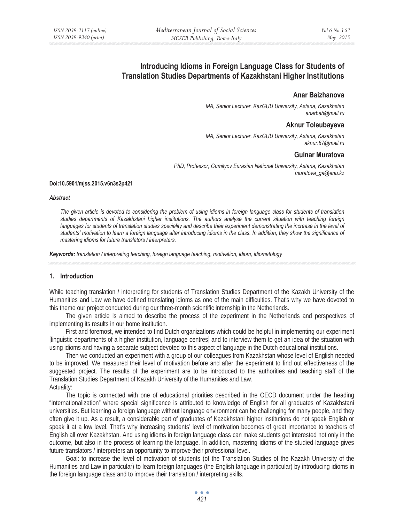# **Introducing Idioms in Foreign Language Class for Students of Translation Studies Departments of Kazakhstani Higher Institutions**

### **Anar Baizhanova**

*MA, Senior Lecturer, KazGUU University, Astana, Kazakhstan anarbah@mail.ru* 

### **Aknur Toleubayeva**

*MA, Senior Lecturer, KazGUU University, Astana, Kazakhstan aknur.87@mail.ru* 

### **Gulnar Muratova**

*PhD, Professor, Gumilyov Eurasian National University, Astana, Kazakhstan muratova\_ga@enu.kz* 

#### **Doi:10.5901/mjss.2015.v6n3s2p421**

#### *Abstract*

*The given article is devoted to considering the problem of using idioms in foreign language class for students of translation studies departments of Kazakhstani higher institutions. The authors analyse the current situation with teaching foreign*  languages for students of translation studies speciality and describe their experiment demonstrating the increase in the level of *students' motivation to learn a foreign language after introducing idioms in the class. In addition, they show the significance of mastering idioms for future translators / interpreters.* 

*Keywords: translation / interpreting teaching, foreign language teaching, motivation, idiom, idiomatology*

### **1. Introduction**

While teaching translation / interpreting for students of Translation Studies Department of the Kazakh University of the Humanities and Law we have defined translating idioms as one of the main difficulties. That's why we have devoted to this theme our project conducted during our three-month scientific internship in the Netherlands.

The given article is aimed to describe the process of the experiment in the Netherlands and perspectives of implementing its results in our home institution.

First and foremost, we intended to find Dutch organizations which could be helpful in implementing our experiment [linguistic departments of a higher institution, language centres] and to interview them to get an idea of the situation with using idioms and having a separate subject devoted to this aspect of language in the Dutch educational institutions.

Then we conducted an experiment with a group of our colleagues from Kazakhstan whose level of English needed to be improved. We measured their level of motivation before and after the experiment to find out effectiveness of the suggested project. The results of the experiment are to be introduced to the authorities and teaching staff of the Translation Studies Department of Kazakh University of the Humanities and Law. Actuality:

The topic is connected with one of educational priorities described in the OECD document under the heading "Internationalization" where special significance is attributed to knowledge of English for all graduates of Kazakhstani universities. But learning a foreign language without language environment can be challenging for many people, and they often give it up. As a result, a considerable part of graduates of Kazakhstani higher institutions do not speak English or speak it at a low level. That's why increasing students' level of motivation becomes of great importance to teachers of English all over Kazakhstan. And using idioms in foreign language class can make students get interested not only in the outcome, but also in the process of learning the language. In addition, mastering idioms of the studied language gives future translators / interpreters an opportunity to improve their professional level.

Goal: to increase the level of motivation of students (of the Translation Studies of the Kazakh University of the Humanities and Law in particular) to learn foreign languages (the English language in particular) by introducing idioms in the foreign language class and to improve their translation / interpreting skills.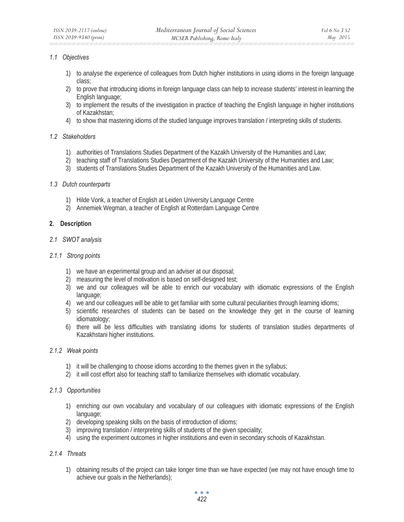### *1.1 Objectives*

- 1) to analyse the experience of colleagues from Dutch higher institutions in using idioms in the foreign language class;
- 2) to prove that introducing idioms in foreign language class can help to increase students' interest in learning the English language;
- 3) to implement the results of the investigation in practice of teaching the English language in higher institutions of Kazakhstan;
- 4) to show that mastering idioms of the studied language improves translation / interpreting skills of students.

### *1.2 Stakeholders*

- 1) authorities of Translations Studies Department of the Kazakh University of the Humanities and Law;
- 2) teaching staff of Translations Studies Department of the Kazakh University of the Humanities and Law;
- 3) students of Translations Studies Department of the Kazakh University of the Humanities and Law.

### *1.3 Dutch counterparts*

- 1) Hilde Vonk, a teacher of English at Leiden University Language Centre
- 2) Annemiek Wegman, a teacher of English at Rotterdam Language Centre

### **2. Description**

### *2.1 SWOT analysis*

### *2.1.1 Strong points*

- 1) we have an experimental group and an adviser at our disposal;
- 2) measuring the level of motivation is based on self-designed test;
- 3) we and our colleagues will be able to enrich our vocabulary with idiomatic expressions of the English language;
- 4) we and our colleagues will be able to get familiar with some cultural peculiarities through learning idioms;
- 5) scientific researches of students can be based on the knowledge they get in the course of learning idiomatology;
- 6) there will be less difficulties with translating idioms for students of translation studies departments of Kazakhstani higher institutions.

### *2.1.2 Weak points*

- 1) it will be challenging to choose idioms according to the themes given in the syllabus;
- 2) it will cost effort also for teaching staff to familiarize themselves with idiomatic vocabulary.

## *2.1.3 Opportunities*

- 1) enriching our own vocabulary and vocabulary of our colleagues with idiomatic expressions of the English language;
- 2) developing speaking skills on the basis of introduction of idioms;
- 3) improving translation / interpreting skills of students of the given speciality;
- 4) using the experiment outcomes in higher institutions and even in secondary schools of Kazakhstan.

## *2.1.4 Threats*

1) obtaining results of the project can take longer time than we have expected (we may not have enough time to achieve our goals in the Netherlands);

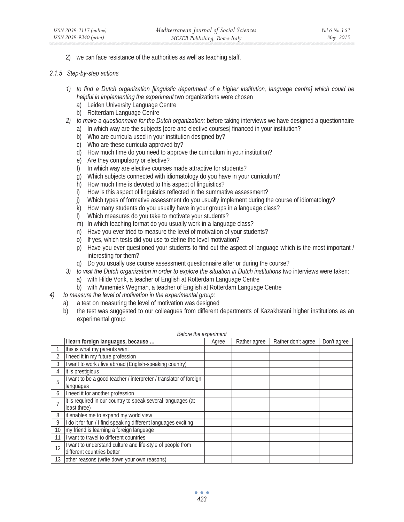2) we can face resistance of the authorities as well as teaching staff.

#### *2.1.5 Step-by-step actions*

- *1) to find a Dutch organization [linguistic department of a higher institution, language centre] which could be helpful in implementing the experiment* two organizations were chosen
	- a) Leiden University Language Centre
	- b) Rotterdam Language Centre
- *2) to make a questionnaire for the Dutch organization:* before taking interviews we have designed a questionnaire
	- a) In which way are the subjects [core and elective courses] financed in your institution?
	- b) Who are curricula used in your institution designed by?
	- c) Who are these curricula approved by?
	- d) How much time do you need to approve the curriculum in your institution?
	- e) Are they compulsory or elective?
	- f) In which way are elective courses made attractive for students?
	- g) Which subjects connected with idiomatology do you have in your curriculum?
	- h) How much time is devoted to this aspect of linguistics?
	- i) How is this aspect of linguistics reflected in the summative assessment?
	- j) Which types of formative assessment do you usually implement during the course of idiomatology?
	- k) How many students do you usually have in your groups in a language class?
	- l) Which measures do you take to motivate your students?
	- m) In which teaching format do you usually work in a language class?
	- n) Have you ever tried to measure the level of motivation of your students?
	- o) If yes, which tests did you use to define the level motivation?
	- p) Have you ever questioned your students to find out the aspect of language which is the most important / interesting for them?
	- q) Do you usually use course assessment questionnaire after or during the course?
- *3) to visit the Dutch organization in order to explore the situation in Dutch institutions* two interviews were taken:
	- a) with Hilde Vonk, a teacher of English at Rotterdam Language Centre
	- b) with Annemiek Wegman, a teacher of English at Rotterdam Language Centre
- *4) to measure the level of motivation in the experimental group:*
	- a) a test on measuring the level of motivation was designed
	- b) the test was suggested to our colleagues from different departments of Kazakhstani higher institutions as an experimental group

|                | I learn foreign languages, because                                | Agree | Rather agree | Rather don't agree | Don't agree |
|----------------|-------------------------------------------------------------------|-------|--------------|--------------------|-------------|
|                | this is what my parents want                                      |       |              |                    |             |
|                | I need it in my future profession                                 |       |              |                    |             |
| 3              | I want to work / live abroad (English-speaking country)           |       |              |                    |             |
| 4              | it is prestigious                                                 |       |              |                    |             |
| 5              | I want to be a good teacher / interpreter / translator of foreign |       |              |                    |             |
|                | languages                                                         |       |              |                    |             |
| 6              | I need it for another profession                                  |       |              |                    |             |
| $\overline{7}$ | it is required in our country to speak several languages (at      |       |              |                    |             |
|                | least three)                                                      |       |              |                    |             |
| 8              | it enables me to expand my world view                             |       |              |                    |             |
| 9              | I do it for fun / I find speaking different languages exciting    |       |              |                    |             |
| 10             | my friend is learning a foreign language                          |       |              |                    |             |
| 11             | I want to travel to different countries                           |       |              |                    |             |
| 12             | I want to understand culture and life-style of people from        |       |              |                    |             |
|                | different countries better                                        |       |              |                    |             |
| 13             | other reasons (write down your own reasons)                       |       |              |                    |             |

#### *Before the experiment*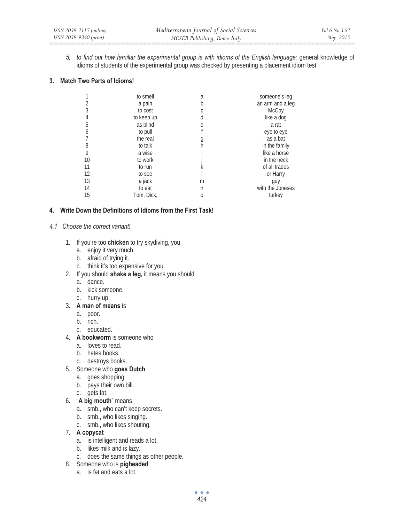*5) to find out how familiar the experimental group is with idioms of the English language:* general knowledge of idioms of students of the experimental group was checked by presenting a placement idiom test

### **3. Match Two Parts of Idioms!**

|    | to smell   | a | someone's leg    |
|----|------------|---|------------------|
| 2  | a pain     | b | an arm and a leg |
| 3  | to cost    |   | McCoy            |
| 4  | to keep up | d | like a dog       |
| 5  | as blind   | e | a rat            |
| 6  | to pull    |   | eye to eye       |
|    | the real   | g | as a bat         |
| 8  | to talk    | h | in the family    |
| 9  | a wise     |   | like a horse     |
| 10 | to work    |   | in the neck      |
| 11 | to run     |   | of all trades    |
| 12 | to see     |   | or Harry         |
| 13 | a jack     | m | guy              |
| 14 | to eat     | n | with the Joneses |
| 15 | Tom, Dick, | Ω | turkey           |

## **4. Write Down the Definitions of Idioms from the First Task!**

### *4.1 Choose the correct variant!*

- 1. If you're too **chicken** to try skydiving, you
	- a. enjoy it very much.
	- b. afraid of trying it.
	- c. think it's too expensive for you.
- 2. If you should **shake a leg,** it means you should
	- a. dance.
	- b. kick someone.
	- c. hurry up.
- 3. **A man of means** is
	- a. poor.
	- b. rich.
	- c. educated.
- 4. **A bookworm** is someone who
	- a. loves to read.
	- b. hates books.
	- c. destroys books.
- 5. Someone who **goes Dutch** 
	- a. goes shopping.
	- b. pays their own bill.
	- c. gets fat.
- 6. "**A big mouth**" means
	- a. smb., who can't keep secrets.
	- b. smb., who likes singing.
	- c. smb., who likes shouting.
- 7. **A copycat** 
	- a. is intelligent and reads a lot.
	- b. likes milk and is lazy.
	- c. does the same things as other people.
- 8. Someone who is **pigheaded** 
	- a. is fat and eats a lot.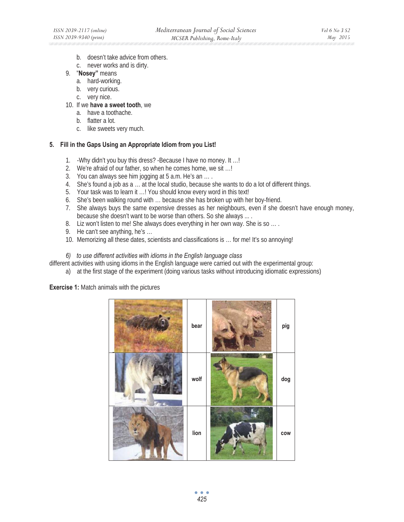- b. doesn't take advice from others.
- c. never works and is dirty.
- 9. "**Nosey"** means
	- a. hard-working.
	- b. very curious.
	- c. very nice.
- 10. If we **have a sweet tooth**, we
	- a. have a toothache.
	- b. flatter a lot.
	- c. like sweets very much.

### **5. Fill in the Gaps Using an Appropriate Idiom from you List!**

- 1. -Why didn't you buy this dress? -Because I have no money. It …!
- 2. We're afraid of our father, so when he comes home, we sit …!
- 3. You can always see him jogging at 5 a.m. He's an … .
- 4. She's found a job as a … at the local studio, because she wants to do a lot of different things.
- 5. Your task was to learn it …! You should know every word in this text!
- 6. She's been walking round with … because she has broken up with her boy-friend.
- 7. She always buys the same expensive dresses as her neighbours, even if she doesn't have enough money, because she doesn't want to be worse than others. So she always ... .
- 8. Liz won't listen to me! She always does everything in her own way. She is so ....
- 9. He can't see anything, he's …
- 10. Memorizing all these dates, scientists and classifications is ... for me! It's so annoying!

*6) to use different activities with idioms in the English language class* 

different activities with using idioms in the English language were carried out with the experimental group:

a) at the first stage of the experiment (doing various tasks without introducing idiomatic expressions)

**Exercise 1:** Match animals with the pictures

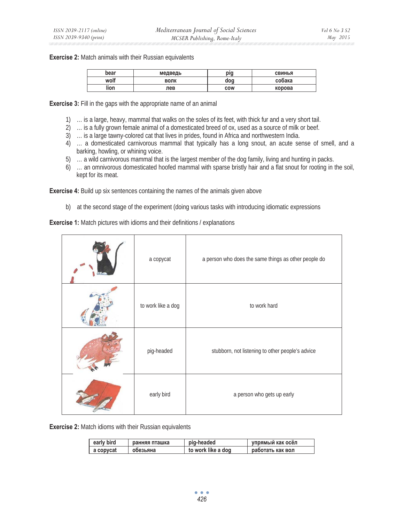**Exercise 2:** Match animals with their Russian equivalents

| bear | медведь | pig        | <b>СВИНЬЯ</b> |
|------|---------|------------|---------------|
| wolf | волк    | doa        | собака        |
| lion | лев     | <b>COW</b> | корова        |

**Exercise 3:** Fill in the gaps with the appropriate name of an animal

- 1) … is a large, heavy, mammal that walks on the soles of its feet, with thick fur and a very short tail.
- 2) … is a fully grown female animal of a domesticated breed of ox, used as a source of milk or beef.
- 3) … is a large tawny-colored cat that lives in prides, found in Africa and northwestern India.
- 4) … a domesticated carnivorous mammal that typically has a long snout, an acute sense of smell, and a barking, howling, or whining voice.
- 5) … a wild carnivorous mammal that is the largest member of the dog family, living and hunting in packs.
- 6) … an omnivorous domesticated hoofed mammal with sparse bristly hair and a flat snout for rooting in the soil, kept for its meat.

**Exercise 4:** Build up six sentences containing the names of the animals given above

b) at the second stage of the experiment (doing various tasks with introducing idiomatic expressions

**Exercise 1:** Match pictures with idioms and their definitions / explanations

| a copycat          | a person who does the same things as other people do |
|--------------------|------------------------------------------------------|
| to work like a dog | to work hard                                         |
| pig-headed         | stubborn, not listening to other people's advice     |
| early bird         | a person who gets up early                           |

**Exercise 2:** Match idioms with their Russian equivalents

| early bird | ранняя пташка | pig-headed         | упрямый как осёл |
|------------|---------------|--------------------|------------------|
| a copycat  | обезьяна      | to work like a dog | работать как вол |

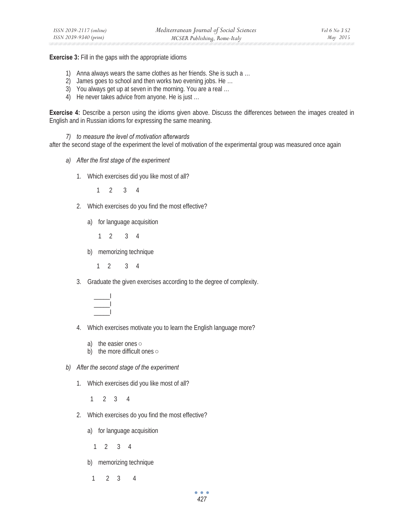**Exercise 3:** Fill in the gaps with the appropriate idioms

- 1) Anna always wears the same clothes as her friends. She is such a …
- 2) James goes to school and then works two evening jobs. He …
- 3) You always get up at seven in the morning. You are a real …
- 4) He never takes advice from anyone. He is just …

**Exercise 4:** Describe a person using the idioms given above. Discuss the differences between the images created in English and in Russian idioms for expressing the same meaning.

*7) to measure the level of motivation afterwards* 

after the second stage of the experiment the level of motivation of the experimental group was measured once again

- *a) After the first stage of the experiment* 
	- 1. Which exercises did you like most of all?

1 2 3 4

- 2. Which exercises do you find the most effective?
	- a) for language acquisition
		- 1 2 3 4
	- b) memorizing technique

1 2 3 4

3. Graduate the given exercises according to the degree of complexity.



- 4. Which exercises motivate you to learn the English language more?
	- a) the easier ones  $\circ$
	- b) the more difficult ones  $\circ$
- *b) After the second stage of the experiment* 
	- 1. Which exercises did you like most of all?
		- 1 2 3 4
	- 2. Which exercises do you find the most effective?
		- a) for language acquisition
			- 1 2 3 4
		- b) memorizing technique
		- 1 2 3 4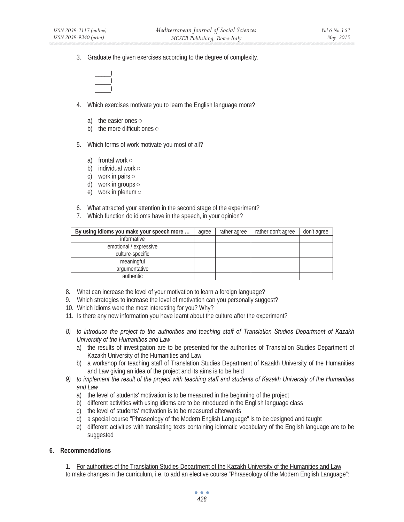3. Graduate the given exercises according to the degree of complexity.



- 4. Which exercises motivate you to learn the English language more?
	- a) the easier ones  $\circ$
	- b) the more difficult ones  $\circ$
- 5. Which forms of work motivate you most of all?
	- a) frontal work  $\circ$
	- b) individual work  $\circ$
	- c) work in pairs  $\circ$
	- d) work in groups  $\circ$
	- e) work in plenum  $\circ$
- 6. What attracted your attention in the second stage of the experiment?
- 7. Which function do idioms have in the speech, in your opinion?

| By using idioms you make your speech more | agree | rather agree | rather don't agree | don't agree |
|-------------------------------------------|-------|--------------|--------------------|-------------|
| informative                               |       |              |                    |             |
| emotional / expressive                    |       |              |                    |             |
| culture-specific                          |       |              |                    |             |
| meaningful                                |       |              |                    |             |
| argumentative                             |       |              |                    |             |
| authentic                                 |       |              |                    |             |

- 8. What can increase the level of your motivation to learn a foreign language?
- 9. Which strategies to increase the level of motivation can you personally suggest?
- 10. Which idioms were the most interesting for you? Why?
- 11. Is there any new information you have learnt about the culture after the experiment?
- *8) to introduce the project to the authorities and teaching staff of Translation Studies Department of Kazakh University of the Humanities and Law* 
	- a) the results of investigation are to be presented for the authorities of Translation Studies Department of Kazakh University of the Humanities and Law
	- b) a workshop for teaching staff of Translation Studies Department of Kazakh University of the Humanities and Law giving an idea of the project and its aims is to be held
- *9) to implement the result of the project with teaching staff and students of Kazakh University of the Humanities and Law* 
	- a) the level of students' motivation is to be measured in the beginning of the project
	- b) different activities with using idioms are to be introduced in the English language class
	- c) the level of students' motivation is to be measured afterwards
	- d) a special course "Phraseology of the Modern English Language" is to be designed and taught
	- e) different activities with translating texts containing idiomatic vocabulary of the English language are to be suggested

### **6. Recommendations**

- 1. For authorities of the Translation Studies Department of the Kazakh University of the Humanities and Law
- to make changes in the curriculum, i.e. to add an elective course "Phraseology of the Modern English Language":